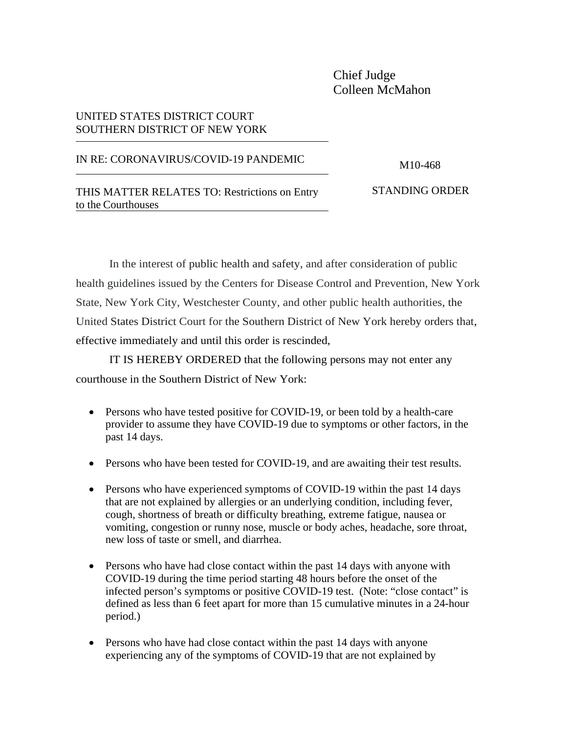## Chief Judge Colleen McMahon

## UNITED STATES DISTRICT COURT SOUTHERN DISTRICT OF NEW YORK

## IN RE: CORONAVIRUS/COVID-19 PANDEMIC M10-468

THIS MATTER RELATES TO: Restrictions on Entry STANDING ORDER to the Courthouses

In the interest of public health and safety, and after consideration of public health guidelines issued by the Centers for Disease Control and Prevention, New York State, New York City, Westchester County, and other public health authorities, the United States District Court for the Southern District of New York hereby orders that, effective immediately and until this order is rescinded,

IT IS HEREBY ORDERED that the following persons may not enter any courthouse in the Southern District of New York:

- Persons who have tested positive for COVID-19, or been told by a health-care provider to assume they have COVID-19 due to symptoms or other factors, in the past 14 days.
- Persons who have been tested for COVID-19, and are awaiting their test results.
- Persons who have experienced symptoms of COVID-19 within the past 14 days that are not explained by allergies or an underlying condition, including fever, cough, shortness of breath or difficulty breathing, extreme fatigue, nausea or vomiting, congestion or runny nose, muscle or body aches, headache, sore throat, new loss of taste or smell, and diarrhea.
- Persons who have had close contact within the past 14 days with anyone with COVID-19 during the time period starting 48 hours before the onset of the infected person's symptoms or positive COVID-19 test. (Note: "close contact" is defined as less than 6 feet apart for more than 15 cumulative minutes in a 24-hour period.)
- Persons who have had close contact within the past 14 days with anyone experiencing any of the symptoms of COVID-19 that are not explained by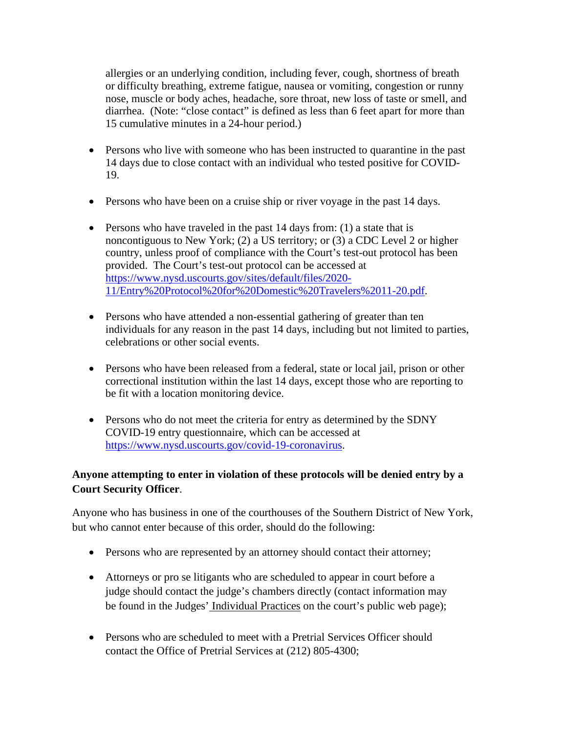allergies or an underlying condition, including fever, cough, shortness of breath or difficulty breathing, extreme fatigue, nausea or vomiting, congestion or runny nose, muscle or body aches, headache, sore throat, new loss of taste or smell, and diarrhea. (Note: "close contact" is defined as less than 6 feet apart for more than 15 cumulative minutes in a 24-hour period.)

- Persons who live with someone who has been instructed to quarantine in the past 14 days due to close contact with an individual who tested positive for COVID-19.
- Persons who have been on a cruise ship or river voyage in the past 14 days.
- Persons who have traveled in the past 14 days from: (1) a state that is noncontiguous to New York; (2) a US territory; or (3) a CDC Level 2 or higher country, unless proof of compliance with the Court's test-out protocol has been provided. The Court's test-out protocol can be accessed at [https://www.nysd.uscourts.gov/sites/default/files/2020-](https://www.nysd.uscourts.gov/sites/default/files/2020-11/Entry%20Protocol%20for%20Domestic%20Travelers%2011-20.pdf) [11/Entry%20Protocol%20for%20Domestic%20Travelers%2011-20.pdf.](https://www.nysd.uscourts.gov/sites/default/files/2020-11/Entry%20Protocol%20for%20Domestic%20Travelers%2011-20.pdf)
- Persons who have attended a non-essential gathering of greater than ten individuals for any reason in the past 14 days, including but not limited to parties, celebrations or other social events.
- Persons who have been released from a federal, state or local jail, prison or other correctional institution within the last 14 days, except those who are reporting to be fit with a location monitoring device.
- Persons who do not meet the criteria for entry as determined by the SDNY COVID-19 entry questionnaire, which can be accessed at [https://www.nysd.uscourts.gov/covid-19-coronavirus.](https://www.nysd.uscourts.gov/covid-19-coronavirus)

## **Anyone attempting to enter in violation of these protocols will be denied entry by a Court Security Officer**.

Anyone who has business in one of the courthouses of the Southern District of New York, but who cannot enter because of this order, should do the following:

- Persons who are represented by an attorney should contact their attorney;
- Attorneys or pro se litigants who are scheduled to appear in court before a judge should contact the judge's chambers directly (contact information may be found in the Judges' [Individual](https://nysd.uscourts.gov/judges) Practices on the court's public web page);
- Persons who are scheduled to meet with a Pretrial Services Officer should contact the Office of Pretrial Services at (212) 805-4300;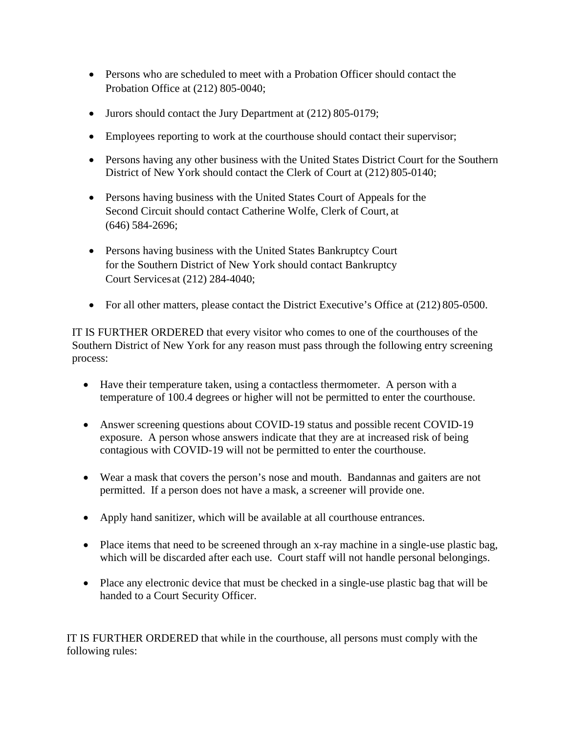- Persons who are scheduled to meet with a Probation Officer should contact the Probation Office at (212) 805-0040;
- Jurors should contact the Jury Department at (212) 805-0179;
- Employees reporting to work at the courthouse should contact their supervisor;
- Persons having any other business with the United States District Court for the Southern District of New York should contact the Clerk of Court at (212) 805-0140;
- Persons having business with the United States Court of Appeals for the Second Circuit should contact Catherine Wolfe, Clerk of Court, at (646) 584-2696;
- Persons having business with the United States Bankruptcy Court for the Southern District of New York should contact Bankruptcy Court Servicesat (212) 284-4040;
- For all other matters, please contact the District Executive's Office at (212) 805-0500.

IT IS FURTHER ORDERED that every visitor who comes to one of the courthouses of the Southern District of New York for any reason must pass through the following entry screening process:

- Have their temperature taken, using a contactless thermometer. A person with a temperature of 100.4 degrees or higher will not be permitted to enter the courthouse.
- Answer screening questions about COVID-19 status and possible recent COVID-19 exposure. A person whose answers indicate that they are at increased risk of being contagious with COVID-19 will not be permitted to enter the courthouse.
- Wear a mask that covers the person's nose and mouth. Bandannas and gaiters are not permitted. If a person does not have a mask, a screener will provide one.
- Apply hand sanitizer, which will be available at all courthouse entrances.
- Place items that need to be screened through an x-ray machine in a single-use plastic bag, which will be discarded after each use. Court staff will not handle personal belongings.
- Place any electronic device that must be checked in a single-use plastic bag that will be handed to a Court Security Officer.

IT IS FURTHER ORDERED that while in the courthouse, all persons must comply with the following rules: